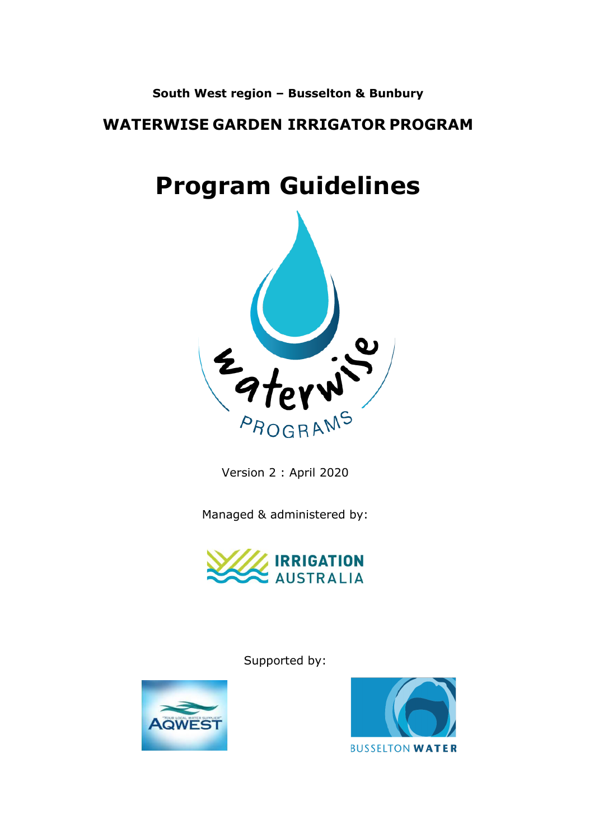## **South West region – Busselton & Bunbury**

## **WATERWISE GARDEN IRRIGATOR PROGRAM**

# **Program Guidelines**



Version 2 : April 2020

Managed & administered by:



Supported by:



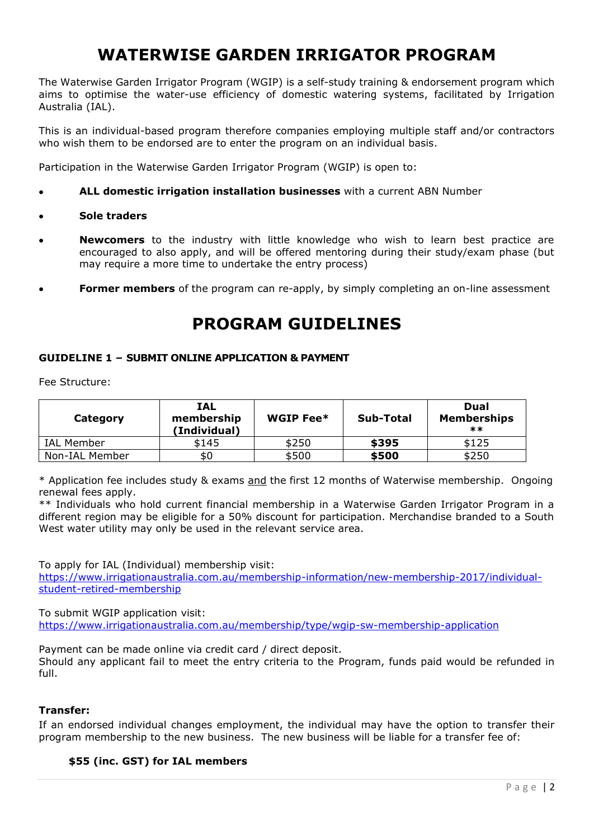# **WATERWISE GARDEN IRRIGATOR PROGRAM**

The Waterwise Garden Irrigator Program (WGIP) is a self-study training & endorsement program which aims to optimise the water-use efficiency of domestic watering systems, facilitated by Irrigation Australia (IAL).

This is an individual-based program therefore companies employing multiple staff and/or contractors who wish them to be endorsed are to enter the program on an individual basis.

Participation in the Waterwise Garden Irrigator Program (WGIP) is open to:

- **ALL domestic irrigation installation businesses** with a current ABN Number
- **Sole traders**
- **Newcomers** to the industry with little knowledge who wish to learn best practice are encouraged to also apply, and will be offered mentoring during their study/exam phase (but may require a more time to undertake the entry process)
- **Former members** of the program can re-apply, by simply completing an on-line assessment

## **PROGRAM GUIDELINES**

#### **GUIDELINE 1 – SUBMIT ONLINE APPLICATION & PAYMENT**

Fee Structure:

| Category       | <b>IAL</b><br>membership<br>(Individual) | WGIP Fee* | Sub-Total | Dual<br><b>Memberships</b><br>$***$ |
|----------------|------------------------------------------|-----------|-----------|-------------------------------------|
| IAL Member     | \$145                                    | \$250     | \$395     | \$125                               |
| Non-IAL Member | \$0                                      | \$500     | \$500     | \$250                               |

\* Application fee includes study & exams and the first 12 months of Waterwise membership. Ongoing renewal fees apply.

\*\* Individuals who hold current financial membership in a Waterwise Garden Irrigator Program in a different region may be eligible for a 50% discount for participation. Merchandise branded to a South West water utility may only be used in the relevant service area.

To apply for IAL (Individual) membership visit:

[https://www.irrigationaustralia.com.au/membership-information/new-membership-2017/individual](https://www.irrigationaustralia.com.au/membership-information/new-membership-2017/individual-student-retired-membership)[student-retired-membership](https://www.irrigationaustralia.com.au/membership-information/new-membership-2017/individual-student-retired-membership)

To submit WGIP application visit:

<https://www.irrigationaustralia.com.au/membership/type/wgip-sw-membership-application>

Payment can be made online via credit card / direct deposit.

Should any applicant fail to meet the entry criteria to the Program, funds paid would be refunded in full.

#### **Transfer:**

If an endorsed individual changes employment, the individual may have the option to transfer their program membership to the new business. The new business will be liable for a transfer fee of:

#### **\$55 (inc. GST) for IAL members**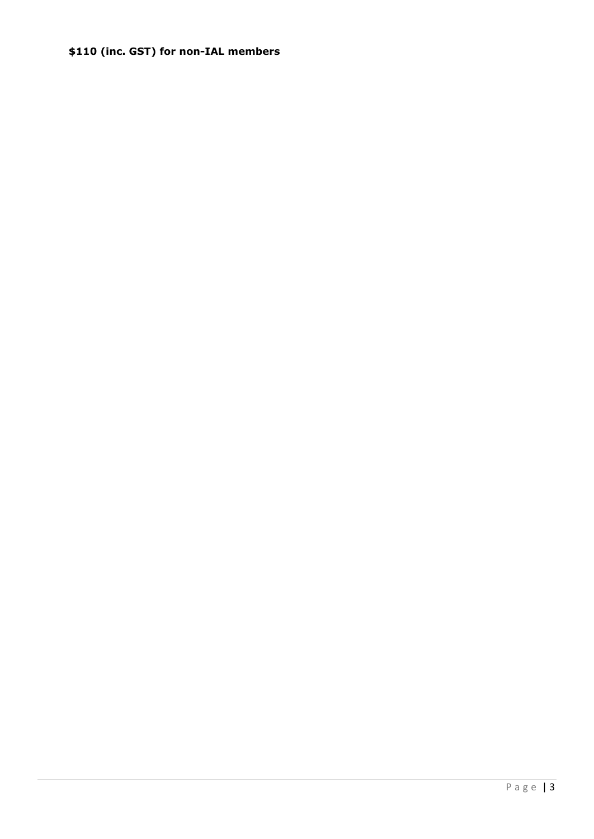### \$110 (inc. GST) for non-IAL members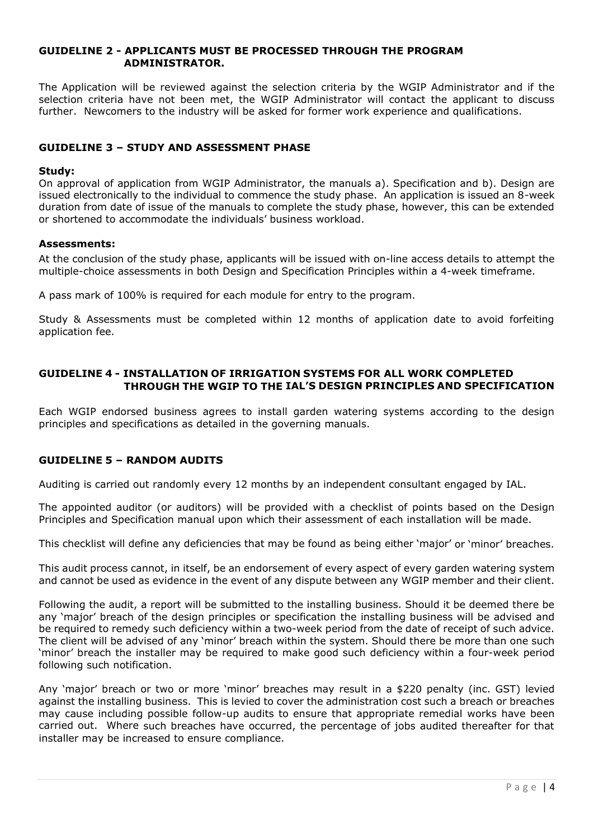#### **GUIDELINE 2 - APPLICANTS MUST BE PROCESSED THROUGH THE PROGRAM ADMINISTRATOR.**

The Application will be reviewed against the selection criteria by the WGIP Administrator and if the selection criteria have not been met, the WGIP Administrator will contact the applicant to discuss further. Newcomers to the industry will be asked for former work experience and qualifications.

#### **GUIDELINE 3 – STUDY AND ASSESSMENT PHASE**

#### **Study:**

On approval of application from WGIP Administrator, the manuals a). Specification and b). Design are issued electronically to the individual to commence the study phase. An application is issued an 8-week duration from date of issue of the manuals to complete the study phase, however, this can be extended or shortened to accommodate the individuals' business workload.

#### **Assessments:**

At the conclusion of the study phase, applicants will be issued with on-line access details to attempt the multiple-choice assessments in both Design and Specification Principles within a 4-week timeframe.

A pass mark of 100% is required for each module for entry to the program.

Study & Assessments must be completed within 12 months of application date to avoid forfeiting application fee.

#### **GUIDELINE 4 - INSTALLATION OF IRRIGATION SYSTEMS FOR ALL WORK COMPLETED THROUGH THE WGIP TO THE IAL'S DESIGN PRINCIPLES AND SPECIFICATION**

Each WGIP endorsed business agrees to install garden watering systems according to the design principles and specifications as detailed in the governing manuals.

#### **GUIDELINE 5 – RANDOM AUDITS**

Auditing is carried out randomly every 12 months by an independent consultant engaged by IAL.

The appointed auditor (or auditors) will be provided with a checklist of points based on the Design Principles and Specification manual upon which their assessment of each installation will be made.

This checklist will define any deficiencies that may be found as being either 'major' or 'minor' breaches.

This audit process cannot, in itself, be an endorsement of every aspect of every garden watering system and cannot be used as evidence in the event of any dispute between any WGIP member and their client.

Following the audit, a report will be submitted to the installing business. Should it be deemed there be any 'major' breach of the design principles or specification the installing business will be advised and be required to remedy such deficiency within a two-week period from the date of receipt of such advice. The client will be advised of any 'minor' breach within the system. Should there be more than one such 'minor' breach the installer may be required to make good such deficiency within a four-week period following such notification.

Any 'major' breach or two or more 'minor' breaches may result in a \$220 penalty (inc. GST) levied against the installing business. This is levied to cover the administration cost such a breach or breaches may cause including possible follow-up audits to ensure that appropriate remedial works have been carried out. Where such breaches have occurred, the percentage of jobs audited thereafter for that installer may be increased to ensure compliance.